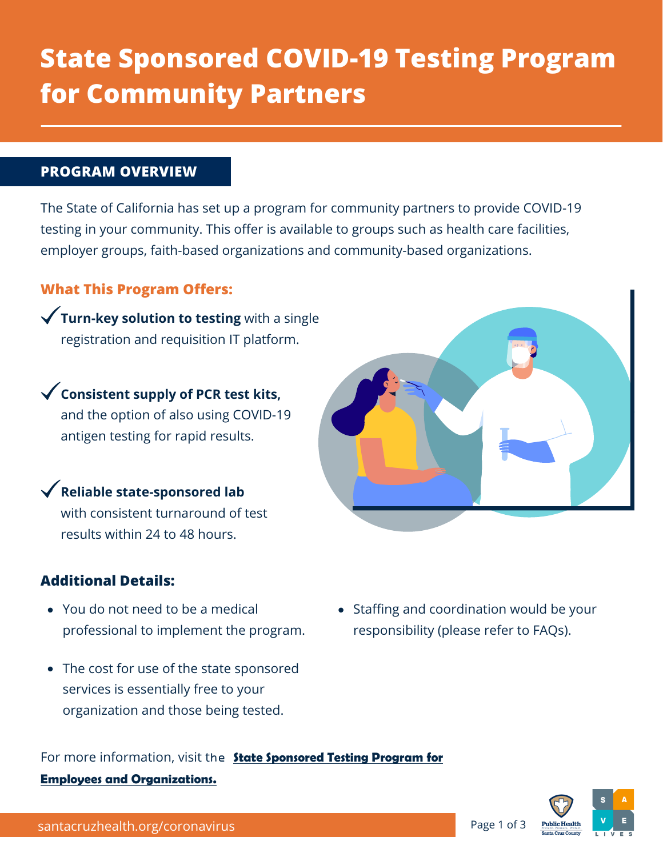# **State Sponsored COVID-19 Testing Program for Community Partners**

#### **PROGRAM OVERVIEW**

The State of California has set up a program for community partners to provide COVID-19 testing in your community. This offer is available to groups such as health care facilities, employer groups, faith-based organizations and community-based organizations.

## **What This Program Offers:**

**Turn-key solution to testing** with a single registration and requisition IT platform.

**Consistent supply of PCR test kits,** and the option of also using COVID-19 antigen testing for rapid results.

**Reliable state-sponsored lab** with consistent turnaround of test results within 24 to 48 hours.

## **Additional Details:**

- You do not need to be a medical professional to implement the program.
- The cost for use of the state sponsored services is essentially free to your organization and those being tested.
- For more information, visit the **[State Sponsored Testing Program for](https://testing.covid19.ca.gov/get-started/)  Employees and Organizations.**



responsibility (please refer to FAQs).

Staffing and coordination would be your

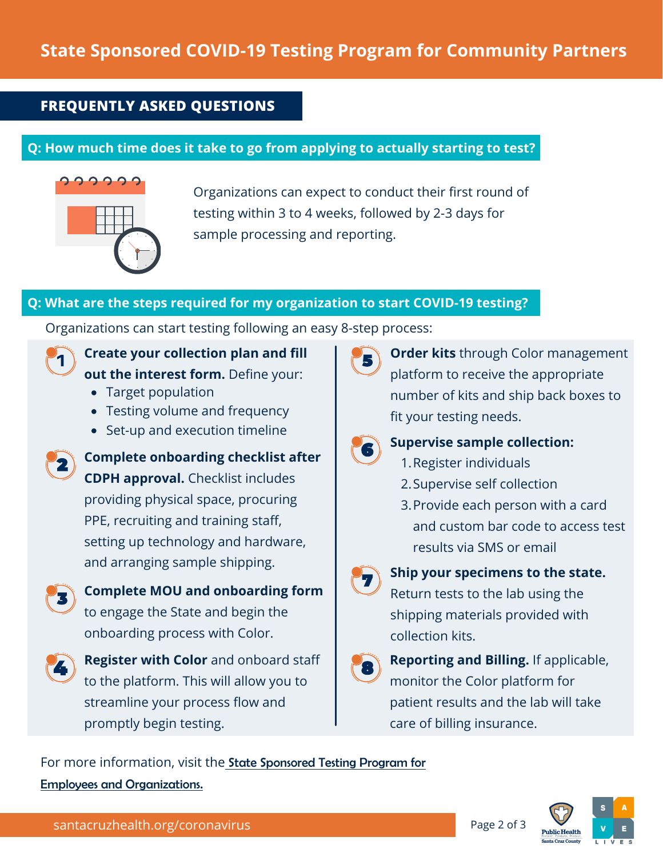# **State Sponsored COVID-19 Testing Program for Community Partners**

## **FREQUENTLY ASKED QUESTIONS**

## **Q: How much time does it take to go from applying to actually starting to test?**



Organizations can expect to conduct their first round of testing within 3 to 4 weeks, followed by 2-3 days for sample processing and reporting.

#### **Q: What are the steps required for my organization to start COVID-19 testing?**

Organizations can start testing following an easy 8-step process:



## **Create your collection plan and fill out the interest form.** Define your:

- Target population
- Testing volume and frequency
- Set-up and execution timeline
- 

**Complete onboarding checklist after CDPH approval.** Checklist includes providing physical space, procuring

PPE, recruiting and training staff, setting up technology and hardware, and arranging sample shipping.



**Complete MOU and onboarding form** to engage the State and begin the onboarding process with Color.



**Register with Color** and onboard staff to the platform. This will allow you to streamline your process flow and promptly begin testing.



**Order kits** through Color management platform to receive the appropriate number of kits and ship back boxes to fit your testing needs.



#### **Supervise sample collection:**

- 1. Register individuals
- 2. Supervise self collection
- 3. Provide each person with a card and custom bar code to access test results via SMS or email



## **Ship your specimens to the state.**

Return tests to the lab using the shipping materials provided with collection kits.



**Reporting and Billing.** If applicable, monitor the Color platform for patient results and the lab will take care of billing insurance.

For more information, visit the [State Sponsored Testing Program for](https://testing.covid19.ca.gov/get-started/) 

Employees and Organizations.